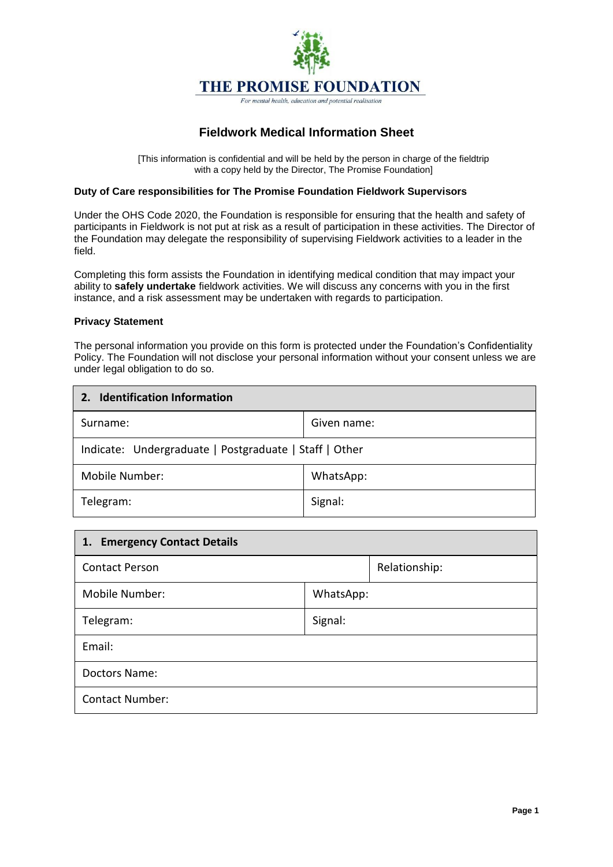

### **Fieldwork Medical Information Sheet**

[This information is confidential and will be held by the person in charge of the fieldtrip with a copy held by the Director, The Promise Foundation]

#### **Duty of Care responsibilities for The Promise Foundation Fieldwork Supervisors**

Under the OHS Code 2020, the Foundation is responsible for ensuring that the health and safety of participants in Fieldwork is not put at risk as a result of participation in these activities. The Director of the Foundation may delegate the responsibility of supervising Fieldwork activities to a leader in the field.

Completing this form assists the Foundation in identifying medical condition that may impact your ability to **safely undertake** fieldwork activities. We will discuss any concerns with you in the first instance, and a risk assessment may be undertaken with regards to participation.

#### **Privacy Statement**

The personal information you provide on this form is protected under the Foundation's Confidentiality Policy. The Foundation will not disclose your personal information without your consent unless we are under legal obligation to do so.

| <b>Identification Information</b><br>2.                |             |  |
|--------------------------------------------------------|-------------|--|
| Surname:                                               | Given name: |  |
| Indicate: Undergraduate   Postgraduate   Staff   Other |             |  |
| Mobile Number:                                         | WhatsApp:   |  |
| Telegram:                                              | Signal:     |  |

| 1. Emergency Contact Details |           |               |  |
|------------------------------|-----------|---------------|--|
| <b>Contact Person</b>        |           | Relationship: |  |
| Mobile Number:               | WhatsApp: |               |  |
| Telegram:                    | Signal:   |               |  |
| Email:                       |           |               |  |
| Doctors Name:                |           |               |  |
| <b>Contact Number:</b>       |           |               |  |